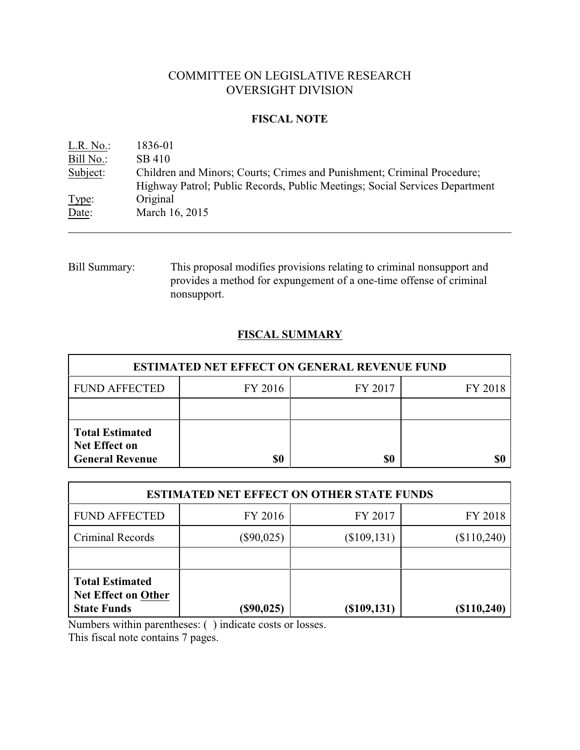# COMMITTEE ON LEGISLATIVE RESEARCH OVERSIGHT DIVISION

# **FISCAL NOTE**

| L.R. No.: | 1836-01                                                                                                                                                |
|-----------|--------------------------------------------------------------------------------------------------------------------------------------------------------|
| Bill No.: | SB 410                                                                                                                                                 |
| Subject:  | Children and Minors; Courts; Crimes and Punishment; Criminal Procedure;<br>Highway Patrol; Public Records, Public Meetings; Social Services Department |
| Type:     | Original                                                                                                                                               |
| Date:     | March 16, 2015                                                                                                                                         |
|           |                                                                                                                                                        |

Bill Summary: This proposal modifies provisions relating to criminal nonsupport and provides a method for expungement of a one-time offense of criminal nonsupport.

# **FISCAL SUMMARY**

| <b>ESTIMATED NET EFFECT ON GENERAL REVENUE FUND</b>                      |         |         |         |  |
|--------------------------------------------------------------------------|---------|---------|---------|--|
| <b>FUND AFFECTED</b>                                                     | FY 2016 | FY 2017 | FY 2018 |  |
|                                                                          |         |         |         |  |
| <b>Total Estimated</b><br><b>Net Effect on</b><br><b>General Revenue</b> | \$0     | \$0     |         |  |

| <b>ESTIMATED NET EFFECT ON OTHER STATE FUNDS</b>                           |              |                |             |  |
|----------------------------------------------------------------------------|--------------|----------------|-------------|--|
| <b>FUND AFFECTED</b>                                                       | FY 2016      | FY 2017        | FY 2018     |  |
| Criminal Records                                                           | $(\$90,025)$ | $(\$109, 131)$ | (\$110,240) |  |
|                                                                            |              |                |             |  |
| <b>Total Estimated</b><br><b>Net Effect on Other</b><br><b>State Funds</b> | $(\$90,025)$ | (\$109,131)    | (\$110,240) |  |

Numbers within parentheses: ( ) indicate costs or losses.

This fiscal note contains 7 pages.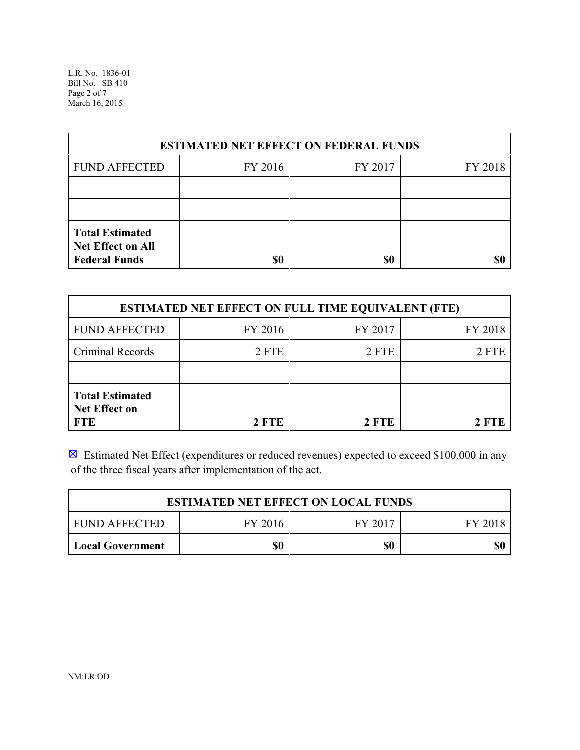L.R. No. 1836-01 Bill No. SB 410 Page 2 of 7 March 16, 2015

| <b>ESTIMATED NET EFFECT ON FEDERAL FUNDS</b>                        |         |         |         |  |
|---------------------------------------------------------------------|---------|---------|---------|--|
| <b>FUND AFFECTED</b>                                                | FY 2016 | FY 2017 | FY 2018 |  |
|                                                                     |         |         |         |  |
|                                                                     |         |         |         |  |
| <b>Total Estimated</b><br>Net Effect on All<br><b>Federal Funds</b> | \$0     | \$0     |         |  |

| <b>ESTIMATED NET EFFECT ON FULL TIME EQUIVALENT (FTE)</b>    |         |         |         |  |
|--------------------------------------------------------------|---------|---------|---------|--|
| <b>FUND AFFECTED</b>                                         | FY 2016 | FY 2017 | FY 2018 |  |
| Criminal Records                                             | 2 FTE   | 2 FTE   | 2 FTE   |  |
|                                                              |         |         |         |  |
| <b>Total Estimated</b><br><b>Net Effect on</b><br><b>FTE</b> | 2 FTE   | 2 FTE   | 2 FTE   |  |

**Estimated Net Effect (expenditures or reduced revenues) expected to exceed \$100,000 in any** of the three fiscal years after implementation of the act.

| <b>ESTIMATED NET EFFECT ON LOCAL FUNDS</b> |         |         |         |
|--------------------------------------------|---------|---------|---------|
| <b>FUND AFFECTED</b>                       | FY 2016 | FY 2017 | FY 2018 |
| Local Government                           | \$0     | \$0     | \$0     |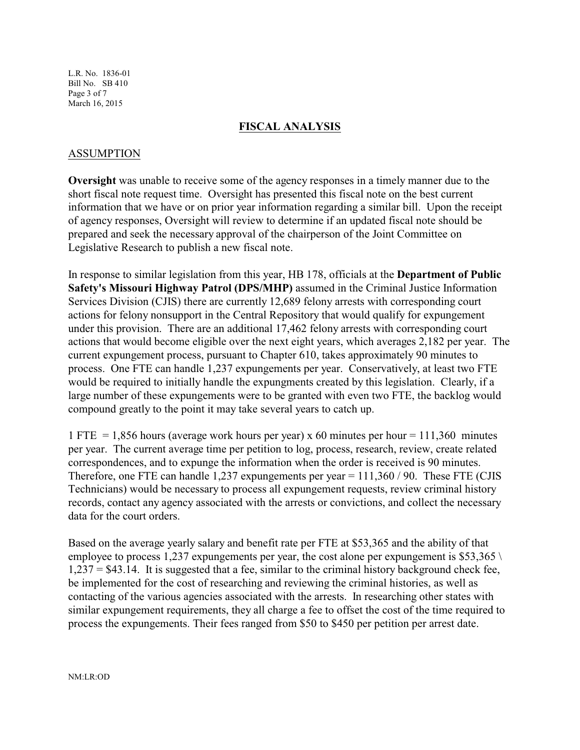L.R. No. 1836-01 Bill No. SB 410 Page 3 of 7 March 16, 2015

#### **FISCAL ANALYSIS**

### ASSUMPTION

**Oversight** was unable to receive some of the agency responses in a timely manner due to the short fiscal note request time. Oversight has presented this fiscal note on the best current information that we have or on prior year information regarding a similar bill. Upon the receipt of agency responses, Oversight will review to determine if an updated fiscal note should be prepared and seek the necessary approval of the chairperson of the Joint Committee on Legislative Research to publish a new fiscal note.

In response to similar legislation from this year, HB 178, officials at the **Department of Public Safety's Missouri Highway Patrol (DPS/MHP)** assumed in the Criminal Justice Information Services Division (CJIS) there are currently 12,689 felony arrests with corresponding court actions for felony nonsupport in the Central Repository that would qualify for expungement under this provision. There are an additional 17,462 felony arrests with corresponding court actions that would become eligible over the next eight years, which averages 2,182 per year. The current expungement process, pursuant to Chapter 610, takes approximately 90 minutes to process. One FTE can handle 1,237 expungements per year. Conservatively, at least two FTE would be required to initially handle the expungments created by this legislation. Clearly, if a large number of these expungements were to be granted with even two FTE, the backlog would compound greatly to the point it may take several years to catch up.

1 FTE = 1,856 hours (average work hours per year) x 60 minutes per hour = 111,360 minutes per year. The current average time per petition to log, process, research, review, create related correspondences, and to expunge the information when the order is received is 90 minutes. Therefore, one FTE can handle 1,237 expungements per year  $= 111,360/90$ . These FTE (CJIS Technicians) would be necessary to process all expungement requests, review criminal history records, contact any agency associated with the arrests or convictions, and collect the necessary data for the court orders.

Based on the average yearly salary and benefit rate per FTE at \$53,365 and the ability of that employee to process 1,237 expungements per year, the cost alone per expungement is \$53,365  $\backslash$  $1,237 = $43.14$ . It is suggested that a fee, similar to the criminal history background check fee, be implemented for the cost of researching and reviewing the criminal histories, as well as contacting of the various agencies associated with the arrests. In researching other states with similar expungement requirements, they all charge a fee to offset the cost of the time required to process the expungements. Their fees ranged from \$50 to \$450 per petition per arrest date.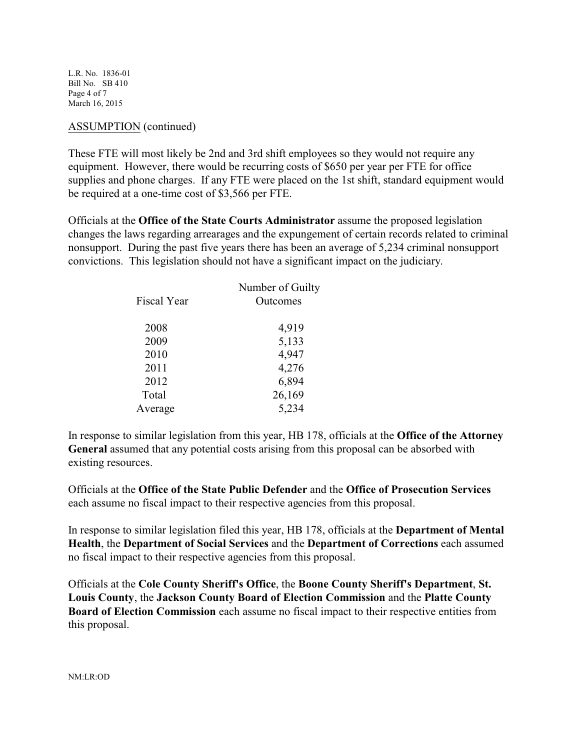L.R. No. 1836-01 Bill No. SB 410 Page 4 of 7 March 16, 2015

### ASSUMPTION (continued)

These FTE will most likely be 2nd and 3rd shift employees so they would not require any equipment. However, there would be recurring costs of \$650 per year per FTE for office supplies and phone charges. If any FTE were placed on the 1st shift, standard equipment would be required at a one-time cost of \$3,566 per FTE.

Officials at the **Office of the State Courts Administrator** assume the proposed legislation changes the laws regarding arrearages and the expungement of certain records related to criminal nonsupport. During the past five years there has been an average of 5,234 criminal nonsupport convictions. This legislation should not have a significant impact on the judiciary.

| Number of Guilty |
|------------------|
| Outcomes         |
| 4,919            |
| 5,133            |
| 4,947            |
| 4,276            |
| 6,894            |
| 26,169           |
| 5,234            |
|                  |

In response to similar legislation from this year, HB 178, officials at the **Office of the Attorney General** assumed that any potential costs arising from this proposal can be absorbed with existing resources.

Officials at the **Office of the State Public Defender** and the **Office of Prosecution Services** each assume no fiscal impact to their respective agencies from this proposal.

In response to similar legislation filed this year, HB 178, officials at the **Department of Mental Health**, the **Department of Social Services** and the **Department of Corrections** each assumed no fiscal impact to their respective agencies from this proposal.

Officials at the **Cole County Sheriff's Office**, the **Boone County Sheriff's Department**, **St. Louis County**, the **Jackson County Board of Election Commission** and the **Platte County Board of Election Commission** each assume no fiscal impact to their respective entities from this proposal.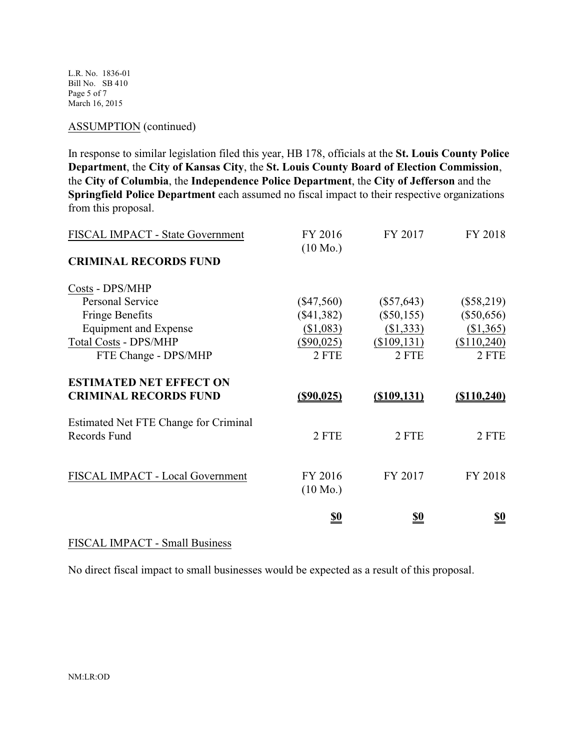L.R. No. 1836-01 Bill No. SB 410 Page 5 of 7 March 16, 2015

#### ASSUMPTION (continued)

In response to similar legislation filed this year, HB 178, officials at the **St. Louis County Police Department**, the **City of Kansas City**, the **St. Louis County Board of Election Commission**, the **City of Columbia**, the **Independence Police Department**, the **City of Jefferson** and the **Springfield Police Department** each assumed no fiscal impact to their respective organizations from this proposal.

| FISCAL IMPACT - State Government      | FY 2016            | FY 2017       | FY 2018        |
|---------------------------------------|--------------------|---------------|----------------|
|                                       | $(10 \text{ Mo.})$ |               |                |
| <b>CRIMINAL RECORDS FUND</b>          |                    |               |                |
| Costs - DPS/MHP                       |                    |               |                |
| <b>Personal Service</b>               | $(\$47,560)$       | $(\$57,643)$  | $(\$58,219)$   |
| <b>Fringe Benefits</b>                | $(\$41,382)$       | $(\$50,155)$  | $(\$50,656)$   |
| Equipment and Expense                 | (\$1,083)          | (\$1,333)     | (\$1,365)      |
| <b>Total Costs - DPS/MHP</b>          | $(\$90,025)$       | (\$109,131)   | (\$110,240)    |
| FTE Change - DPS/MHP                  | 2 FTE              | 2 FTE         | 2 FTE          |
| <b>ESTIMATED NET EFFECT ON</b>        |                    |               |                |
| <b>CRIMINAL RECORDS FUND</b>          | <u>(\$90,025)</u>  | ( \$109, 131) | $($ \$110,240) |
| Estimated Net FTE Change for Criminal |                    |               |                |
| Records Fund                          | 2 FTE              | 2 FTE         | 2 FTE          |
|                                       |                    |               |                |
|                                       |                    |               |                |
| FISCAL IMPACT - Local Government      | FY 2016            | FY 2017       | FY 2018        |
|                                       | $(10 \text{ Mo.})$ |               |                |
|                                       | <u>\$0</u>         | <u>\$0</u>    | <u>\$0</u>     |
|                                       |                    |               |                |

# FISCAL IMPACT - Small Business

No direct fiscal impact to small businesses would be expected as a result of this proposal.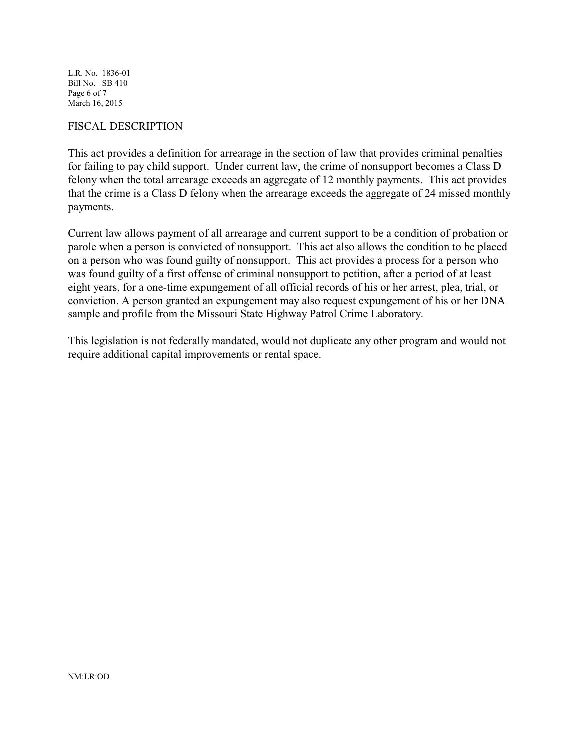L.R. No. 1836-01 Bill No. SB 410 Page 6 of 7 March 16, 2015

#### FISCAL DESCRIPTION

This act provides a definition for arrearage in the section of law that provides criminal penalties for failing to pay child support. Under current law, the crime of nonsupport becomes a Class D felony when the total arrearage exceeds an aggregate of 12 monthly payments. This act provides that the crime is a Class D felony when the arrearage exceeds the aggregate of 24 missed monthly payments.

Current law allows payment of all arrearage and current support to be a condition of probation or parole when a person is convicted of nonsupport. This act also allows the condition to be placed on a person who was found guilty of nonsupport. This act provides a process for a person who was found guilty of a first offense of criminal nonsupport to petition, after a period of at least eight years, for a one-time expungement of all official records of his or her arrest, plea, trial, or conviction. A person granted an expungement may also request expungement of his or her DNA sample and profile from the Missouri State Highway Patrol Crime Laboratory.

This legislation is not federally mandated, would not duplicate any other program and would not require additional capital improvements or rental space.